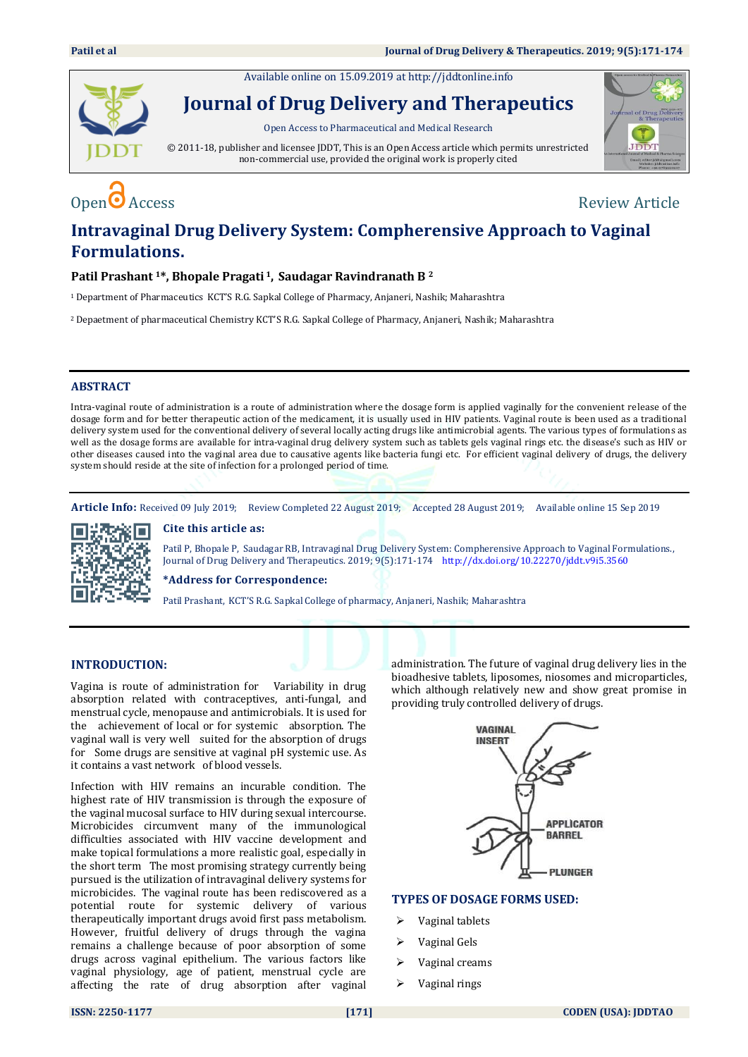Available online on 15.09.2019 a[t http://jddtonline.info](http://jddtonline.info/)



**Journal of Drug Delivery and Therapeutics**

Open Access to Pharmaceutical and Medical Research

© 2011-18, publisher and licensee JDDT, This is an Open Access article which permits unrestricted non-commercial use, provided the original work is properly cited



# $\mathbf{O}_{\text{Decess}}$   $\bullet$  Access

# **Intravaginal Drug Delivery System: Compherensive Approach to Vaginal Formulations.**

# **Patil Prashant 1\*, Bhopale Pragati <sup>1</sup>, Saudagar Ravindranath B <sup>2</sup>**

<sup>1</sup>Department of Pharmaceutics KCT'S R.G. Sapkal College of Pharmacy, Anjaneri, Nashik; Maharashtra

<sup>2</sup>Depaetment of pharmaceutical Chemistry KCT'S R.G. Sapkal College of Pharmacy, Anjaneri, Nashik; Maharashtra

### **ABSTRACT**

Intra-vaginal route of administration is a route of administration where the dosage form is applied vaginally for the convenient release of the dosage form and for better therapeutic action of the medicament, it is usually used in HIV patients. Vaginal route is been used as a traditional delivery system used for the conventional delivery of several locally acting drugs like antimicrobial agents. The various types of formulations as well as the dosage forms are available for intra-vaginal drug delivery system such as tablets gels vaginal rings etc. the disease's such as HIV or other diseases caused into the vaginal area due to causative agents like bacteria fungi etc. For efficient vaginal delivery of drugs, the delivery system should reside at the site of infection for a prolonged period of time.

**Article Info:** Received 09 July 2019; Review Completed 22 August 2019; Accepted 28 August 2019; Available online 15 Sep 2019



**Cite this article as:** 

Patil P, Bhopale P, Saudagar RB, Intravaginal Drug Delivery System: Compherensive Approach to Vaginal Formulations., Journal of Drug Delivery and Therapeutics. 2019; 9(5):171-174 <http://dx.doi.org/10.22270/jddt.v9i5.3560>

#### **\*Address for Correspondence:**

Patil Prashant, KCT'S R.G. Sapkal College of pharmacy, Anjaneri, Nashik; Maharashtra

# **INTRODUCTION:**

Vagina is route of administration for Variability in drug absorption related with contraceptives, anti-fungal, and menstrual cycle, menopause and antimicrobials. It is used for the achievement of local or for systemic absorption. The vaginal wall is very well suited for the absorption of drugs for Some drugs are sensitive at vaginal pH systemic use. As it contains a vast network of blood vessels.

Infection with HIV remains an incurable condition. The highest rate of HIV transmission is through the exposure of the vaginal mucosal surface to HIV during sexual intercourse. Microbicides circumvent many of the immunological difficulties associated with HIV vaccine development and make topical formulations a more realistic goal, especially in the short term The most promising strategy currently being pursued is the utilization of intravaginal delivery systems for microbicides. The vaginal route has been rediscovered as a potential route for systemic delivery of various therapeutically important drugs avoid first pass metabolism. However, fruitful delivery of drugs through the vagina remains a challenge because of poor absorption of some drugs across vaginal epithelium. The various factors like vaginal physiology, age of patient, menstrual cycle are affecting the rate of drug absorption after vaginal

administration. The future of vaginal drug delivery lies in the bioadhesive tablets, liposomes, niosomes and microparticles, which although relatively new and show great promise in providing truly controlled delivery of drugs.



# **TYPES OF DOSAGE FORMS USED:**

- Vaginal tablets
- Vaginal Gels
- Vaginal creams
- Vaginal rings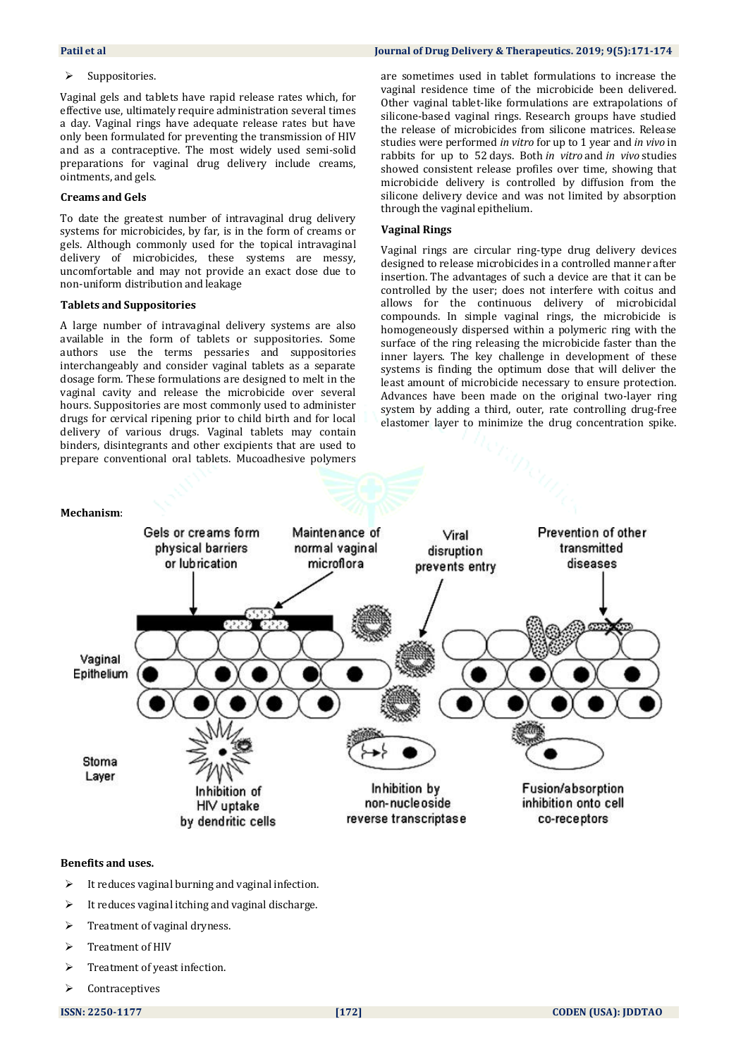#### $\triangleright$  Suppositories.

Vaginal gels and tablets have rapid release rates which, for effective use, ultimately require administration several times a day. Vaginal rings have adequate release rates but have only been formulated for preventing the transmission of HIV and as a contraceptive. The most widely used semi-solid preparations for vaginal drug delivery include creams, ointments, and gels.

#### **Creams and Gels**

To date the greatest number of intravaginal drug delivery systems for microbicides, by far, is in the form of creams or gels. Although commonly used for the topical intravaginal delivery of microbicides, these systems are messy, uncomfortable and may not provide an exact dose due to non-uniform distribution and leakage

#### **Tablets and Suppositories**

A large number of intravaginal delivery systems are also available in the form of tablets or suppositories. Some authors use the terms pessaries and suppositories interchangeably and consider vaginal tablets as a separate dosage form. These formulations are designed to melt in the vaginal cavity and release the microbicide over several hours. Suppositories are most commonly used to administer drugs for cervical ripening prior to child birth and for local delivery of various drugs. Vaginal tablets may contain binders, disintegrants and other excipients that are used to prepare conventional oral tablets. Mucoadhesive polymers

are sometimes used in tablet formulations to increase the vaginal residence time of the microbicide been delivered. Other vaginal tablet-like formulations are extrapolations of silicone-based vaginal rings. Research groups have studied the release of microbicides from silicone matrices. Release studies were performed *in vitro* for up to 1 year and *in vivo* in rabbits for up to 52 days. Both *in vitro* and *in vivo* studies showed consistent release profiles over time, showing that microbicide delivery is controlled by diffusion from the silicone delivery device and was not limited by absorption through the vaginal epithelium.

#### **Vaginal Rings**

Vaginal rings are circular ring-type drug delivery devices designed to release microbicides in a controlled manner after insertion. The advantages of such a device are that it can be controlled by the user; does not interfere with coitus and allows for the continuous delivery of microbicidal compounds. In simple vaginal rings, the microbicide is homogeneously dispersed within a polymeric ring with the surface of the ring releasing the microbicide faster than the inner layers. The key challenge in development of these systems is finding the optimum dose that will deliver the least amount of microbicide necessary to ensure protection. Advances have been made on the original two-layer ring system by adding a third, outer, rate controlling drug-free elastomer layer to minimize the drug concentration spike.



#### **Benefits and uses.**

- $\triangleright$  It reduces vaginal burning and vaginal infection.
- It reduces vaginal itching and vaginal discharge.
- Treatment of vaginal dryness.
- Treatment of HIV
- $\triangleright$  Treatment of yeast infection.
- Contraceptives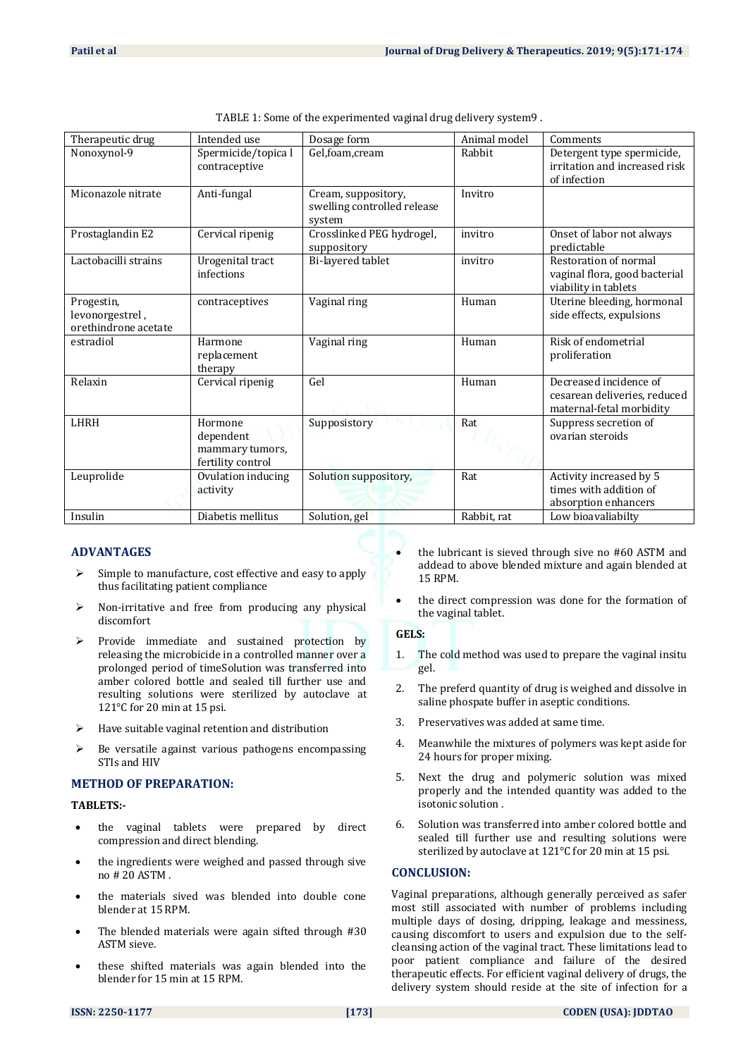| Therapeutic drug                                      | Intended use                                                 | Dosage form                                                  | Animal model | Comments                                                                           |
|-------------------------------------------------------|--------------------------------------------------------------|--------------------------------------------------------------|--------------|------------------------------------------------------------------------------------|
| Nonoxynol-9                                           | Spermicide/topica l<br>contraceptive                         | Gel,foam,cream                                               | Rabbit       | Detergent type spermicide,<br>irritation and increased risk<br>of infection        |
| Miconazole nitrate                                    | Anti-fungal                                                  | Cream, suppository,<br>swelling controlled release<br>system | Invitro      |                                                                                    |
| Prostaglandin E2                                      | Cervical ripenig                                             | Crosslinked PEG hydrogel,<br>suppository                     | invitro      | Onset of labor not always<br>predictable                                           |
| Lactobacilli strains                                  | Urogenital tract<br>infections                               | Bi-layered tablet                                            | invitro      | Restoration of normal<br>vaginal flora, good bacterial<br>viability in tablets     |
| Progestin,<br>levonorgestrel,<br>orethindrone acetate | contraceptives                                               | Vaginal ring                                                 | Human        | Uterine bleeding, hormonal<br>side effects, expulsions                             |
| estradiol                                             | Harmone<br>replacement<br>therapy                            | Vaginal ring                                                 | Human        | Risk of endometrial<br>proliferation                                               |
| Relaxin                                               | Cervical ripenig                                             | Gel                                                          | Human        | Decreased incidence of<br>cesarean deliveries, reduced<br>maternal-fetal morbidity |
| LHRH                                                  | Hormone<br>dependent<br>mammary tumors,<br>fertility control | Supposistory                                                 | Rat          | Suppress secretion of<br>ovarian steroids                                          |
| Leuprolide                                            | Ovulation inducing<br>activity                               | Solution suppository,                                        | Rat          | Activity increased by 5<br>times with addition of<br>absorption enhancers          |
| Insulin                                               | Diabetis mellitus                                            | Solution, gel                                                | Rabbit, rat  | Low bioavaliabilty                                                                 |

| TABLE 1: Some of the experimented vaginal drug delivery system9. |  |  |
|------------------------------------------------------------------|--|--|
|                                                                  |  |  |
|                                                                  |  |  |

# **ADVANTAGES**

- $\triangleright$  Simple to manufacture, cost effective and easy to apply thus facilitating patient compliance
- $\triangleright$  Non-irritative and free from producing any physical discomfort
- $\triangleright$  Provide immediate and sustained protection by releasing the microbicide in a controlled manner over a prolonged period of timeSolution was transferred into amber colored bottle and sealed till further use and resulting solutions were sterilized by autoclave at 121°C for 20 min at 15 psi.
- Have suitable vaginal retention and distribution
- $\triangleright$  Be versatile against various pathogens encompassing STIs and HIV

# **METHOD OF PREPARATION:**

#### **TABLETS:-**

- the vaginal tablets were prepared by direct compression and direct blending.
- the ingredients were weighed and passed through sive no # 20 ASTM .
- the materials sived was blended into double cone blender at 15 RPM.
- The blended materials were again sifted through #30 ASTM sieve.
- these shifted materials was again blended into the blender for 15 min at 15 RPM.
- the lubricant is sieved through sive no #60 ASTM and addead to above blended mixture and again blended at 15 RPM.
- the direct compression was done for the formation of the vaginal tablet.

# **GELS:**

- 1. The cold method was used to prepare the vaginal insitu gel.
- 2. The preferd quantity of drug is weighed and dissolve in saline phospate buffer in aseptic conditions.
- 3. Preservatives was added at same time.
- 4. Meanwhile the mixtures of polymers was kept aside for 24 hours for proper mixing.
- 5. Next the drug and polymeric solution was mixed properly and the intended quantity was added to the isotonic solution .
- 6. Solution was transferred into amber colored bottle and sealed till further use and resulting solutions were sterilized by autoclave at 121°C for 20 min at 15 psi.

# **CONCLUSION:**

Vaginal preparations, although generally perceived as safer most still associated with number of problems including multiple days of dosing, dripping, leakage and messiness, causing discomfort to users and expulsion due to the selfcleansing action of the vaginal tract. These limitations lead to poor patient compliance and failure of the desired therapeutic effects. For efficient vaginal delivery of drugs, the delivery system should reside at the site of infection for a